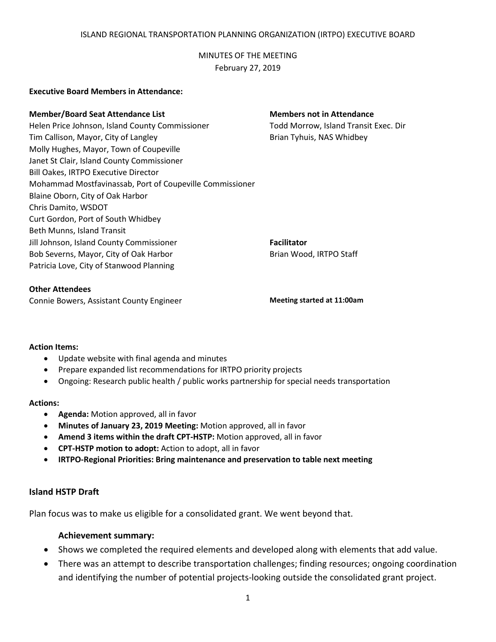## ISLAND REGIONAL TRANSPORTATION PLANNING ORGANIZATION (IRTPO) EXECUTIVE BOARD

MINUTES OF THE MEETING February 27, 2019

## **Executive Board Members in Attendance:**

## **Member/Board Seat Attendance List Members not in Attendance**

Helen Price Johnson, Island County Commissioner Todd Morrow, Island Transit Exec. Dir Tim Callison, Mayor, City of Langley **Brian Tyhuis, NAS Whidbey** Brian Tyhuis, NAS Whidbey Molly Hughes, Mayor, Town of Coupeville Janet St Clair, Island County Commissioner Bill Oakes, IRTPO Executive Director Mohammad Mostfavinassab, Port of Coupeville Commissioner Blaine Oborn, City of Oak Harbor Chris Damito, WSDOT Curt Gordon, Port of South Whidbey Beth Munns, Island Transit Jill Johnson, Island County Commissioner **Facilitator** Bob Severns, Mayor, City of Oak Harbor Brian Wood, IRTPO Staff Patricia Love, City of Stanwood Planning

### **Other Attendees**

Connie Bowers, Assistant County Engineer **Meeting started at 11:00am**

### **Action Items:**

- Update website with final agenda and minutes
- Prepare expanded list recommendations for IRTPO priority projects
- Ongoing: Research public health / public works partnership for special needs transportation

### **Actions:**

- **Agenda:** Motion approved, all in favor
- **Minutes of January 23, 2019 Meeting:** Motion approved, all in favor
- **Amend 3 items within the draft CPT-HSTP:** Motion approved, all in favor
- **CPT-HSTP motion to adopt:** Action to adopt, all in favor
- **IRTPO-Regional Priorities: Bring maintenance and preservation to table next meeting**

## **Island HSTP Draft**

Plan focus was to make us eligible for a consolidated grant. We went beyond that.

# **Achievement summary:**

- Shows we completed the required elements and developed along with elements that add value.
- There was an attempt to describe transportation challenges; finding resources; ongoing coordination and identifying the number of potential projects-looking outside the consolidated grant project.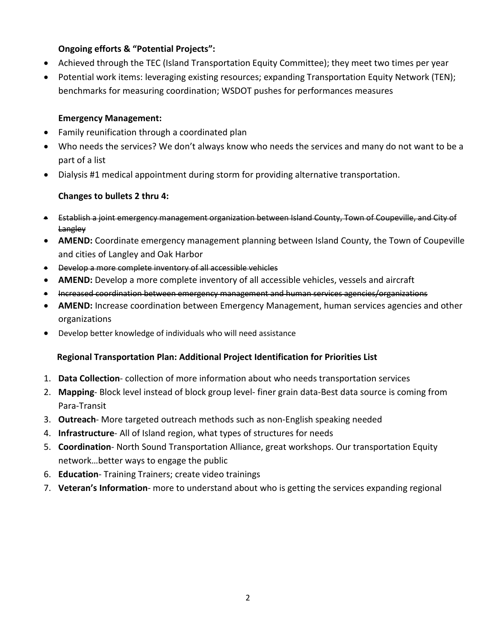# **Ongoing efforts & "Potential Projects":**

- Achieved through the TEC (Island Transportation Equity Committee); they meet two times per year
- Potential work items: leveraging existing resources; expanding Transportation Equity Network (TEN); benchmarks for measuring coordination; WSDOT pushes for performances measures

## **Emergency Management:**

- Family reunification through a coordinated plan
- Who needs the services? We don't always know who needs the services and many do not want to be a part of a list
- Dialysis #1 medical appointment during storm for providing alternative transportation.

# **Changes to bullets 2 thru 4:**

- Establish a joint emergency management organization between Island County, Town of Coupeville, and City of **Langley**
- **AMEND:** Coordinate emergency management planning between Island County, the Town of Coupeville and cities of Langley and Oak Harbor
- Develop a more complete inventory of all accessible vehicles
- **AMEND:** Develop a more complete inventory of all accessible vehicles, vessels and aircraft
- Increased coordination between emergency management and human services agencies/organizations
- **AMEND:** Increase coordination between Emergency Management, human services agencies and other organizations
- Develop better knowledge of individuals who will need assistance

# **Regional Transportation Plan: Additional Project Identification for Priorities List**

- 1. **Data Collection** collection of more information about who needs transportation services
- 2. **Mapping** Block level instead of block group level- finer grain data-Best data source is coming from Para-Transit
- 3. **Outreach** More targeted outreach methods such as non-English speaking needed
- 4. **Infrastructure** All of Island region, what types of structures for needs
- 5. **Coordination** North Sound Transportation Alliance, great workshops. Our transportation Equity network…better ways to engage the public
- 6. **Education** Training Trainers; create video trainings
- 7. **Veteran's Information** more to understand about who is getting the services expanding regional